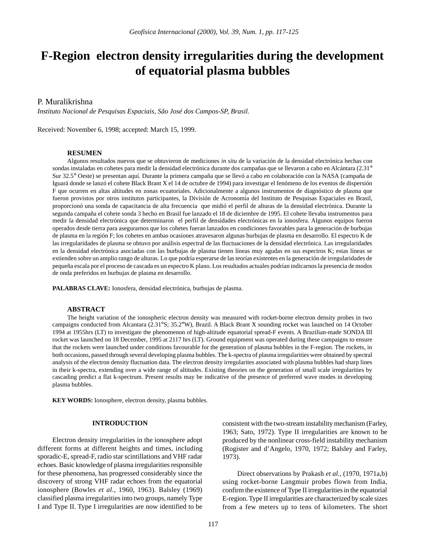# **F-Region electron density irregularities during the development of equatorial plasma bubbles**

## P. Muralikrishna

*Instituto Nacional de Pesquisas Espaciais, São José dos Campos-SP, Brasil.*

Received: November 6, 1998; accepted: March 15, 1999.

#### **RESUMEN**

Algunos resultados nuevos que se obtuvieron de mediciones *in situ* de la variación de la densidad electrónica hechas con sondas instaladas en cohetes para medir la densidad electrónica durante dos campañas que se llevaron a cabo en Alcántara (2.31° Sur 32.5° Oeste) se presentan aquí. Durante la primera campaña que se llevó a cabo en colaboración con la NASA (campaña de Iguará donde se lanzó el cohete Black Brant X el 14 de octubre de 1994) para investigar el fenómeno de los eventos de dispersión F que ocurren en altas altitudes en zonas ecuatoriales. Adicionalmente a algunos instrumentos de diagnóstico de plasma que fueron provistos por otros institutos participantes, la División de Acronomía del Instituto de Pesquisas Espaciales en Brasil, proporcionó una sonda de capacitancia de alta frecuencia que midió el perfil de alturas de la densidad electrónica. Durante la segunda campaña el cohete sonda 3 hecho en Brasil fue lanzado el 18 de diciembre de 1995. El cohete llevaba instrumentos para medir la densidad electrónica que determinaron el perfil de densidades electrónicas en la ionosfera. Algunos equipos fueron operados desde tierra para asegurarnos que los cohetes fueran lanzados en condiciones favorables para la generación de burbujas de plasma en la región F; los cohetes en ambas ocasiones atravesaron algunas burbujas de plasma en desarrollo. El espectro K de las irregularidades de plasma se obtuvo por análisis espectral de las fluctuaciones de la densidad electrónica. Las irregularidades en la densidad electrónica asociadas con las burbujas de plasma tienen líneas muy agudas en sus espectros K; estas líneas se extienden sobre un amplio rango de alturas. Lo que podría esperarse de las teorías existentes en la generación de irregularidades de pequeña escala por el proceso de cascada es un espectro K plano. Los resultados actuales podrían indicarnos la presencia de modos de onda preferidos en burbujas de plasma en desarrollo.

**PALABRAS CLAVE:** Ionosfera, densidad electrónica, burbujas de plasma.

## **ABSTRACT**

The height variation of the ionospheric electron density was measured with rocket-borne electron density probes in two campaigns conducted from Alcantara (2.31°S; 35.2°W), Brazil. A Black Brant X sounding rocket was launched on 14 October 1994 at 1955hrs (LT) to investigate the phenomenon of high-altitude equatorial spread-F events. A Brazilian-made SONDA III rocket was launched on 18 December, 1995 at 2117 hrs (LT). Ground equipment was operated during these campaigns to ensure that the rockets were launched under conditions favourable for the generation of plasma bubbles in the F-region. The rockets, in both occasions, passed through several developing plasma bubbles. The k-spectra of plasma irregularities were obtained by spectral analysis of the electron density fluctuation data. The electron density irregularites associated with plasma bubbles had sharp lines in their k-spectra, extending over a wide range of altitudes. Existing theories on the generation of small scale irregularities by cascading predict a flat k-spectrum. Present results may be indicative of the presence of preferred wave modes in developing plasma bubbles.

**KEY WORDS:** Ionosphere, electron density, plasma bubbles.

## **INTRODUCTION**

Electron density irregularities in the ionosphere adopt different forms at different heights and times, including sporadic-E, spread-F, radio star scintillations and VHF radar echoes. Basic knowledge of plasma irregularities responsible for these phenomena, has progressed considerably since the discovery of strong VHF radar echoes from the equatorial ionosphere (Bowles *et al.,* 1960, 1963). Balsley (1969) classified plasma irregularities into two groups, namely Type I and Type II. Type I irregularities are now identified to be

consistent with the two-stream instability mechanism (Farley, 1963; Sato, 1972). Type II irregularities are known to be produced by the nonlinear cross-field instability mechanism (Rogister and d'Angelo, 1970, 1972; Balsley and Farley, 1973).

Direct observations by Prakash *et al.,* (1970, 1971a,b) using rocket-borne Langmuir probes flown from India, confirm the existence of Type II irregularities in the equatorial E-region. Type II irregularities are characterized by scale sizes from a few meters up to tens of kilometers. The short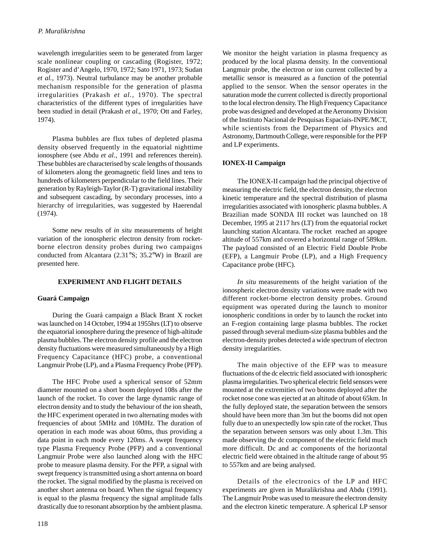wavelength irregularities seem to be generated from larger scale nonlinear coupling or cascading (Rogister, 1972; Rogister and d'Angelo, 1970, 1972; Sato 1971, 1973; Sudan *et al.,* 1973). Neutral turbulance may be another probable mechanism responsible for the generation of plasma irregularities (Prakash *et al.*, 1970). The spectral characteristics of the different types of irregularities have been studied in detail (Prakash *et al.*, 1970; Ott and Farley, 1974).

Plasma bubbles are flux tubes of depleted plasma density observed frequently in the equatorial nighttime ionosphere (see Abdu *et al.*, 1991 and references therein). These bubbles are characterised by scale lengths of thousands of kilometers along the geomagnetic field lines and tens to hundreds of kilometers perpendicular to the field lines. Their generation by Rayleigh-Taylor (R-T) gravitational instability and subsequent cascading, by secondary processes, into a hierarchy of irregularities, was suggested by Haerendal (1974).

Some new results of *in situ* measurements of height variation of the ionospheric electron density from rocketborne electron density probes during two campaigns conducted from Alcantara (2.31°S; 35.2°W) in Brazil are presented here.

## **EXPERIMENT AND FLIGHT DETAILS**

## **Guará Campaign**

During the Guará campaign a Black Brant X rocket was launched on 14 October, 1994 at 1955hrs (LT) to observe the equatorial ionosphere during the presence of high-altitude plasma bubbles. The electron density profile and the electron density fluctuations were measured simultaneously by a High Frequency Capacitance (HFC) probe, a conventional Langmuir Probe (LP), and a Plasma Frequency Probe (PFP).

The HFC Probe used a spherical sensor of 52mm diameter mounted on a short boom deployed 108s after the launch of the rocket. To cover the large dynamic range of electron density and to study the behaviour of the ion sheath, the HFC experiment operated in two alternating modes with frequencies of about 5MHz and 10MHz. The duration of operation in each mode was about 60ms, thus providing a data point in each mode every 120ms. A swept frequency type Plasma Frequency Probe (PFP) and a conventional Langmuir Probe were also launched along with the HFC probe to measure plasma density. For the PFP, a signal with swept frequency is transmitted using a short antenna on board the rocket. The signal modified by the plasma is received on another short antenna on board. When the signal frequency is equal to the plasma frequency the signal amplitude falls drastically due to resonant absorption by the ambient plasma.

We monitor the height variation in plasma frequency as produced by the local plasma density. In the conventional Langmuir probe, the electron or ion current collected by a metallic sensor is measured as a function of the potential applied to the sensor. When the sensor operates in the saturation mode the current collected is directly proportional to the local electron density. The High Frequency Capacitance probe was designed and developed at the Aeronomy Division of the Instituto Nacional de Pesquisas Espaciais-INPE/MCT, while scientists from the Department of Physics and Astronomy, Dartmouth College, were responsible for the PFP and LP experiments.

## **IONEX-II Campaign**

The IONEX-II campaign had the principal objective of measuring the electric field, the electron density, the electron kinetic temperature and the spectral distribution of plasma irregularities associated with ionospheric plasma bubbles. A Brazilian made SONDA III rocket was launched on 18 December, 1995 at 2117 hrs (LT) from the equatorial rocket launching station Alcantara. The rocket reached an apogee altitude of 557km and covered a horizontal range of 589km. The payload consisted of an Electric Field Double Probe (EFP), a Langmuir Probe (LP), and a High Frequency Capacitance probe (HFC).

*In situ* measurements of the height variation of the ionospheric electron density variations were made with two different rocket-borne electron density probes. Ground equipment was operated during the launch to monitor ionospheric conditions in order by to launch the rocket into an F-region containing large plasma bubbles. The rocket passed through several medium-size plasma bubbles and the electron-density probes detected a wide spectrum of electron density irregularities.

The main objective of the EFP was to measure fluctuations of the dc electric field associated with ionospheric plasma irregularities. Two spherical electric field sensors were mounted at the extremities of two booms deployed after the rocket nose cone was ejected at an altitude of about 65km. In the fully deployed state, the separation between the sensors should have been more than 3m but the booms did not open fully due to an unexpectedly low spin rate of the rocket. Thus the separation between sensors was only about 1.3m. This made observing the dc component of the electric field much more difficult. Dc and ac components of the horizontal electric field were obtained in the altitude range of about 95 to 557km and are being analysed.

Details of the electronics of the LP and HFC experiments are given in Muralikrishna and Abdu (1991). The Langmuir Probe was used to measure the electron density and the electron kinetic temperature. A spherical LP sensor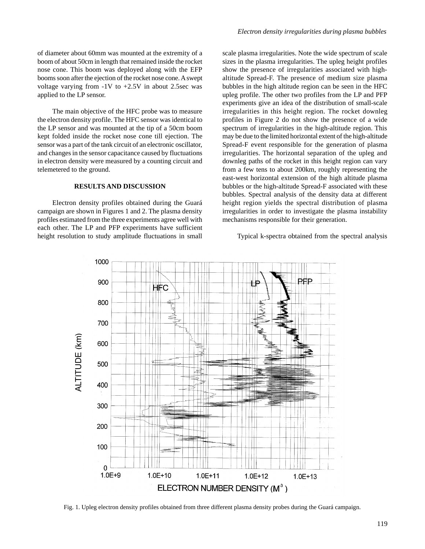of diameter about 60mm was mounted at the extremity of a boom of about 50cm in length that remained inside the rocket nose cone. This boom was deployed along with the EFP booms soon after the ejection of the rocket nose cone. A swept voltage varying from  $-1V$  to  $+2.5V$  in about 2.5sec was applied to the LP sensor.

The main objective of the HFC probe was to measure the electron density profile. The HFC sensor was identical to the LP sensor and was mounted at the tip of a 50cm boom kept folded inside the rocket nose cone till ejection. The sensor was a part of the tank circuit of an electronic oscillator, and changes in the sensor capacitance caused by fluctuations in electron density were measured by a counting circuit and telemetered to the ground.

## **RESULTS AND DISCUSSION**

Electron density profiles obtained during the Guará campaign are shown in Figures 1 and 2. The plasma density profiles estimated from the three experiments agree well with each other. The LP and PFP experiments have sufficient height resolution to study amplitude fluctuations in small

scale plasma irregularities. Note the wide spectrum of scale sizes in the plasma irregularities. The upleg height profiles show the presence of irregularities associated with highaltitude Spread-F. The presence of medium size plasma bubbles in the high altitude region can be seen in the HFC upleg profile. The other two profiles from the LP and PFP experiments give an idea of the distribution of small-scale irregularities in this height region. The rocket downleg profiles in Figure 2 do not show the presence of a wide spectrum of irregularities in the high-altitude region. This may be due to the limited horizontal extent of the high-altitude Spread-F event responsible for the generation of plasma irregularities. The horizontal separation of the upleg and downleg paths of the rocket in this height region can vary from a few tens to about 200km, roughly representing the east-west horizontal extension of the high altitude plasma bubbles or the high-altitude Spread-F associated with these bubbles. Spectral analysis of the density data at different height region yields the spectral distribution of plasma irregularities in order to investigate the plasma instability mechanisms responsible for their generation.

#### Typical k-spectra obtained from the spectral analysis



Fig. 1. Upleg electron density profiles obtained from three different plasma density probes during the Guará campaign.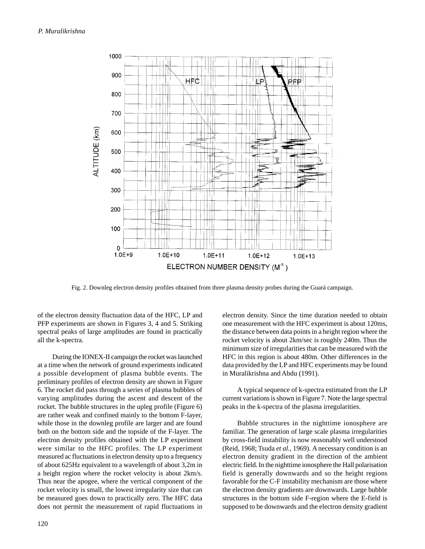

Fig. 2. Downleg electron density profiles obtained from three plasma density probes during the Guará campaign.

of the electron density fluctuation data of the HFC, LP and PFP experiments are shown in Figures 3, 4 and 5. Striking spectral peaks of large amplitudes are found in practically all the k-spectra.

During the IONEX-II campaign the rocket was launched at a time when the network of ground experiments indicated a possible development of plasma bubble events. The preliminary profiles of electron density are shown in Figure 6. The rocket did pass through a series of plasma bubbles of varying amplitudes during the ascent and descent of the rocket. The bubble structures in the upleg profile (Figure 6) are rather weak and confined mainly to the bottom F-layer, while those in the downleg profile are larger and are found both on the bottom side and the topside of the F-layer. The electron density profiles obtained with the LP experiment were similar to the HFC profiles. The LP experiment measured ac fluctuations in electron density up to a frequency of about 625Hz equivalent to a wavelength of about 3,2m in a height region where the rocket velocity is about 2km/s. Thus near the apogee, where the vertical component of the rocket velocity is small, the lowest irregularity size that can be measured goes down to practically zero. The HFC data does not permit the measurement of rapid fluctuations in

electron density. Since the time duration needed to obtain one measurement with the HFC experiment is about 120ms, the distance between data points in a height region where the rocket velocity is about 2km/sec is roughly 240m. Thus the minimum size of irregularities that can be measured with the HFC in this region is about 480m. Other differences in the data provided by the LP and HFC experiments may be found in Muralikrishna and Abdu (1991).

A typical sequence of k-spectra estimated from the LP current variations is shown in Figure 7. Note the large spectral peaks in the k-spectra of the plasma irregularities.

Bubble structures in the nighttime ionosphere are familiar. The generation of large scale plasma irregularities by cross-field instability is now reasonably well understood (Reid, 1968; Tsuda *et al*., 1969). A necessary condition is an electron density gradient in the direction of the ambient electric field. In the nighttime ionosphere the Hall polarisation field is generally downwards and so the height regions favorable for the C-F instability mechanism are those where the electron density gradients are downwards. Large bubble structures in the bottom side F-region where the E-field is supposed to be downwards and the electron density gradient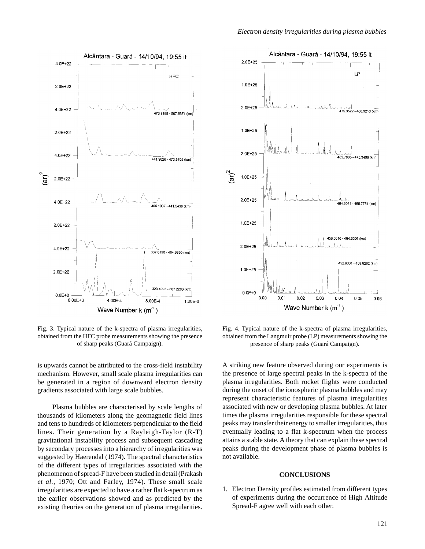

Fig. 3. Typical nature of the k-spectra of plasma irregularities, obtained from the HFC probe measurements showing the presence of sharp peaks (Guará Campaign).

is upwards cannot be attributed to the cross-field instability mechanism. However, small scale plasma irregularities can be generated in a region of downward electron density gradients associated with large scale bubbles.

Plasma bubbles are characterised by scale lengths of thousands of kilometers along the geomagnetic field lines and tens to hundreds of kilometers perpendicular to the field lines. Their generation by a Rayleigh-Taylor (R-T) gravitational instability process and subsequent cascading by secondary processes into a hierarchy of irregularities was suggested by Haerendal (1974). The spectral characteristics of the different types of irregularities associated with the phenomenon of spread-F have been studied in detail (Prakash *et al.*, 1970; Ott and Farley, 1974). These small scale irregularities are expected to have a rather flat k-spectrum as the earlier observations showed and as predicted by the existing theories on the generation of plasma irregularities.



Fig. 4. Typical nature of the k-spectra of plasma irregularities, obtained from the Langmuir probe (LP) measurements showing the presence of sharp peaks (Guará Campaign).

A striking new feature observed during our experiments is the presence of large spectral peaks in the k-spectra of the plasma irregularities. Both rocket flights were conducted during the onset of the ionospheric plasma bubbles and may represent characteristic features of plasma irregularities associated with new or developing plasma bubbles. At later times the plasma irregularities responsible for these spectral peaks may transfer their energy to smaller irregularities, thus eventually leading to a flat k-spectrum when the process attains a stable state. A theory that can explain these spectral peaks during the development phase of plasma bubbles is not available.

## **CONCLUSIONS**

1. Electron Density profiles estimated from different types of experiments during the occurrence of High Altitude Spread-F agree well with each other.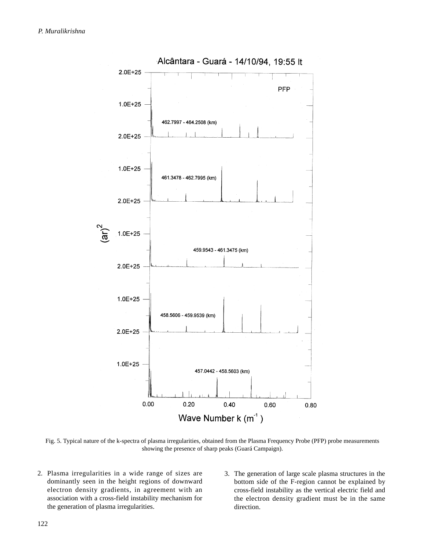

Fig. 5. Typical nature of the k-spectra of plasma irregularities, obtained from the Plasma Frequency Probe (PFP) probe measurements showing the presence of sharp peaks (Guará Campaign).

- 2. Plasma irregularities in a wide range of sizes are dominantly seen in the height regions of downward electron density gradients, in agreement with an association with a cross-field instability mechanism for the generation of plasma irregularities.
- 3. The generation of large scale plasma structures in the bottom side of the F-region cannot be explained by cross-field instability as the vertical electric field and the electron density gradient must be in the same direction.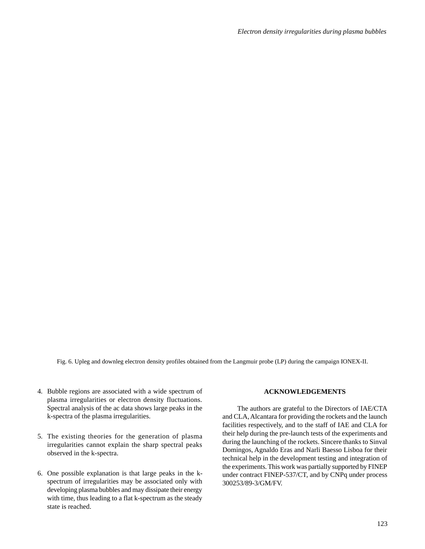*Electron density irregularities during plasma bubbles*

Fig. 6. Upleg and downleg electron density profiles obtained from the Langmuir probe (LP) during the campaign IONEX-II.

- 4. Bubble regions are associated with a wide spectrum of plasma irregularities or electron density fluctuations. Spectral analysis of the ac data shows large peaks in the k-spectra of the plasma irregularities.
- 5. The existing theories for the generation of plasma irregularities cannot explain the sharp spectral peaks observed in the k-spectra.
- 6. One possible explanation is that large peaks in the kspectrum of irregularities may be associated only with developing plasma bubbles and may dissipate their energy with time, thus leading to a flat k-spectrum as the steady state is reached.

#### **ACKNOWLEDGEMENTS**

The authors are grateful to the Directors of IAE/CTA and CLA, Alcantara for providing the rockets and the launch facilities respectively, and to the staff of IAE and CLA for their help during the pre-launch tests of the experiments and during the launching of the rockets. Sincere thanks to Sinval Domingos, Agnaldo Eras and Narli Baesso Lisboa for their technical help in the development testing and integration of the experiments. This work was partially supported by FINEP under contract FINEP-537/CT, and by CNPq under process 300253/89-3/GM/FV.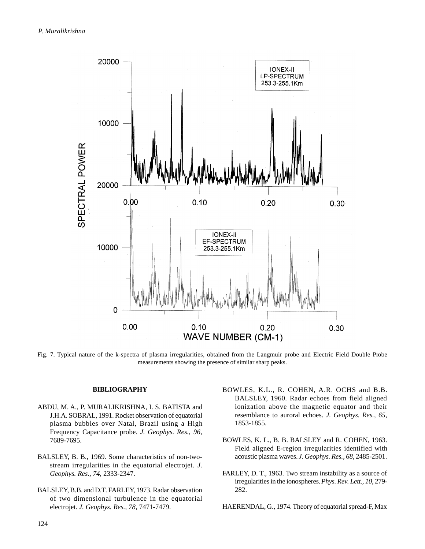

Fig. 7. Typical nature of the k-spectra of plasma irregularities, obtained from the Langmuir probe and Electric Field Double Probe measurements showing the presence of similar sharp peaks.

## **BIBLIOGRAPHY**

- ABDU, M. A., P. MURALIKRISHNA, I. S. BATISTA and J.H.A. SOBRAL, 1991. Rocket observation of equatorial plasma bubbles over Natal, Brazil using a High Frequency Capacitance probe. *J. Geophys. Res., 96,* 7689-7695.
- BALSLEY, B. B., 1969. Some characteristics of non-twostream irregularities in the equatorial electrojet. *J. Geophys. Res., 74*, 2333-2347.
- BALSLEY, B.B. and D.T. FARLEY, 1973. Radar observation of two dimensional turbulence in the equatorial electrojet. *J. Geophys. Res., 78,* 7471-7479.
- BOWLES, K.L., R. COHEN, A.R. OCHS and B.B. BALSLEY, 1960. Radar echoes from field aligned ionization above the magnetic equator and their resemblance to auroral echoes. *J. Geophys. Res., 65,* 1853-1855.
- BOWLES, K. L., B. B. BALSLEY and R. COHEN, 1963. Field aligned E-region irregularities identified with acoustic plasma waves. *J. Geophys. Res., 68*, 2485-2501.
- FARLEY, D. T., 1963. Two stream instability as a source of irregularities in the ionospheres. *Phys. Rev. Lett., 10*, 279- 282.
- HAERENDAL, G., 1974. Theory of equatorial spread-F, Max